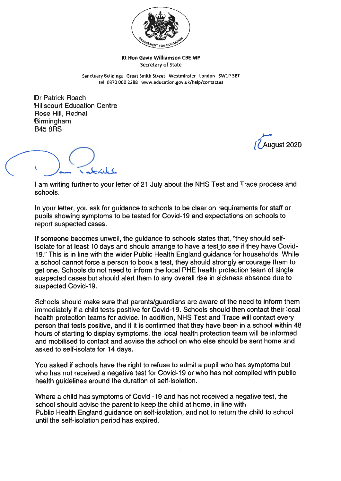

## Rt Hon Gavin Williamson CBE MP Secretary of State

Sanctuary Buildings Great Smith Street Westminster London SW1P 3BT tel: 0370 000 2288 www.education.gov.uk/help/contactus

Dr Patrick Roach Hillscourt Education Centre Rose Hill, Rednal Birmingham B45 8RS

u<mark>aust 2020</mark>

<sup>I</sup> am writing further to your letter of 21 July about the NHS Test and Trace process and schools.

In your letter, you ask for guidance to schools to be clear on requirements for staff or pupils showing symptoms to be tested for Covid-19 and expectations on schools to repor<sup>t</sup> suspected cases.

If someone becomes unwell, the guidance to schools states that, "they should selfisolate for at least 10 days and should arrange to have <sup>a</sup> test to see if they have Covid 19." This is in line With the wider Public Health England guidance for households. While <sup>a</sup> school cannot force <sup>a</sup> person to book <sup>a</sup> test, they should strongly encourage them to ge<sup>t</sup> one. Schools do not need to inform the local PHE health protection team of single suspected cases but should alert them to any overall rise in sickness absence due to suspected Covid-19.

Schools should make sure that parents/guardians are aware of the need to inform them immediately if <sup>a</sup> child tests positive for Covid-19. Schools should then contact their local health protection teams for advice. In addition, NHS Test and Trace will contact every person that tests positive, and if it is confirmed that they have been in <sup>a</sup> school within 48 hours of starting to display symptoms, the local health protection team will be informed and mobilised to contact and advise the school on who else should be sent home and asked to self-isolate for 14 days.

You asked if schools have the right to refuse to admit <sup>a</sup> pupil who has symptoms but who has not received <sup>a</sup> negative test for Covid-19 or who has not complied with public health guidelines around the duration of self-isolation.

Where <sup>a</sup> child has symptoms of Covid -19 and has not received <sup>a</sup> negative test, the school should advise the paren<sup>t</sup> to keep the child at home, in line with Public Health England guidance on self-isolation, and not to return the child to school until the self-isolation period has expired.